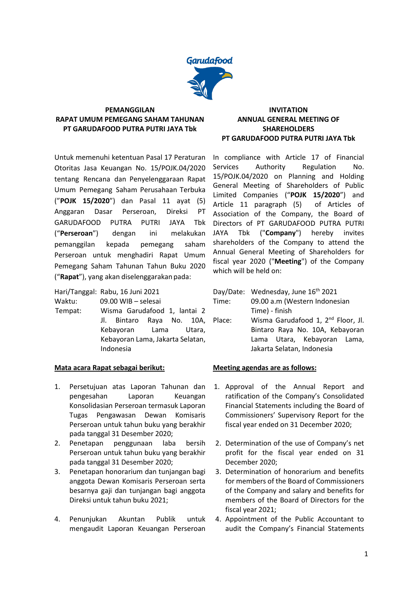

### **PEMANGGILAN RAPAT UMUM PEMEGANG SAHAM TAHUNAN PT GARUDAFOOD PUTRA PUTRI JAYA Tbk**

Untuk memenuhi ketentuan Pasal 17 Peraturan Otoritas Jasa Keuangan No. 15/POJK.04/2020 tentang Rencana dan Penyelenggaraan Rapat Umum Pemegang Saham Perusahaan Terbuka ("**POJK 15/2020**") dan Pasal 11 ayat (5) Anggaran Dasar Perseroan, Direksi PT GARUDAFOOD PUTRA PUTRI JAYA Tbk ("**Perseroan**") dengan ini melakukan pemanggilan kepada pemegang saham Perseroan untuk menghadiri Rapat Umum Pemegang Saham Tahunan Tahun Buku 2020 ("**Rapat**"), yang akan diselenggarakan pada:

Hari/Tanggal: Rabu, 16 Juni 2021

Waktu: 09.00 WIB – selesai

Tempat: Wisma Garudafood 1, lantai 2 Jl. Bintaro Raya No. 10A, Kebayoran Lama Utara, Kebayoran Lama, Jakarta Selatan, Indonesia

# **Mata acara Rapat sebagai berikut:**

- 1. Persetujuan atas Laporan Tahunan dan pengesahan Laporan Keuangan Konsolidasian Perseroan termasuk Laporan Tugas Pengawasan Dewan Komisaris Perseroan untuk tahun buku yang berakhir pada tanggal 31 Desember 2020;
- 2. Penetapan penggunaan laba bersih Perseroan untuk tahun buku yang berakhir pada tanggal 31 Desember 2020;
- 3. Penetapan honorarium dan tunjangan bagi anggota Dewan Komisaris Perseroan serta besarnya gaji dan tunjangan bagi anggota Direksi untuk tahun buku 2021;
- 4. Penunjukan Akuntan Publik untuk mengaudit Laporan Keuangan Perseroan

## **INVITATION ANNUAL GENERAL MEETING OF SHAREHOLDERS PT GARUDAFOOD PUTRA PUTRI JAYA Tbk**

In compliance with Article 17 of Financial Services Authority Regulation No. 15/POJK.04/2020 on Planning and Holding General Meeting of Shareholders of Public Limited Companies ("**POJK 15/2020**") and Article 11 paragraph (5) of Articles of Association of the Company, the Board of Directors of PT GARUDAFOOD PUTRA PUTRI JAYA Tbk ("**Company**") hereby invites shareholders of the Company to attend the Annual General Meeting of Shareholders for fiscal year 2020 ("**Meeting**") of the Company which will be held on:

|        | Day/Date: Wednesday, June 16th 2021            |
|--------|------------------------------------------------|
| Time:  | 09.00 a.m (Western Indonesian                  |
|        | Time) - finish                                 |
| Place: | Wisma Garudafood 1, 2 <sup>nd</sup> Floor, Jl. |
|        | Bintaro Raya No. 10A, Kebayoran                |
|        | Lama Utara, Kebayoran Lama,                    |

# **Meeting agendas are as follows:**

1. Approval of the Annual Report and ratification of the Company's Consolidated Financial Statements including the Board of Commissioners' Supervisory Report for the fiscal year ended on 31 December 2020;

Jakarta Selatan, Indonesia

- 2. Determination of the use of Company's net profit for the fiscal year ended on 31 December 2020;
- 3. Determination of honorarium and benefits for members of the Board of Commissioners of the Company and salary and benefits for members of the Board of Directors for the fiscal year 2021;
- 4. Appointment of the Public Accountant to audit the Company's Financial Statements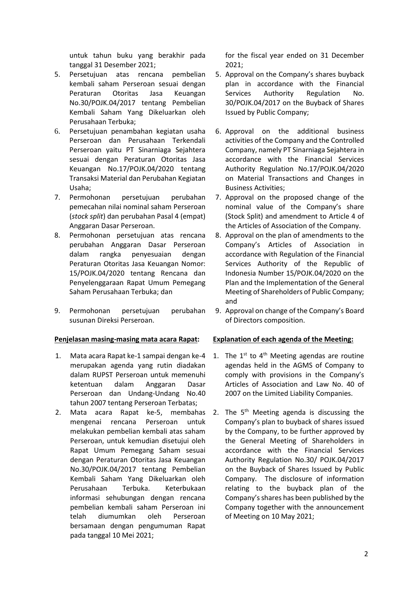untuk tahun buku yang berakhir pada tanggal 31 Desember 2021;

- 5. Persetujuan atas rencana pembelian kembali saham Perseroan sesuai dengan Peraturan Otoritas Jasa Keuangan No.30/POJK.04/2017 tentang Pembelian Kembali Saham Yang Dikeluarkan oleh Perusahaan Terbuka;
- 6. Persetujuan penambahan kegiatan usaha Perseroan dan Perusahaan Terkendali Perseroan yaitu PT Sinarniaga Sejahtera sesuai dengan Peraturan Otoritas Jasa Keuangan No.17/POJK.04/2020 tentang Transaksi Material dan Perubahan Kegiatan Usaha;
- 7. Permohonan persetujuan perubahan pemecahan nilai nominal saham Perseroan (*stock split*) dan perubahan Pasal 4 (empat) Anggaran Dasar Perseroan.
- 8. Permohonan persetujuan atas rencana perubahan Anggaran Dasar Perseroan dalam rangka penyesuaian dengan Peraturan Otoritas Jasa Keuangan Nomor: 15/POJK.04/2020 tentang Rencana dan Penyelenggaraan Rapat Umum Pemegang Saham Perusahaan Terbuka; dan
- 9. Permohonan persetujuan perubahan susunan Direksi Perseroan.

### **Penjelasan masing-masing mata acara Rapat:**

- 1. Mata acara Rapat ke-1 sampai dengan ke-4 merupakan agenda yang rutin diadakan dalam RUPST Perseroan untuk memenuhi ketentuan dalam Anggaran Dasar Perseroan dan Undang-Undang No.40 tahun 2007 tentang Perseroan Terbatas;
- 2. Mata acara Rapat ke-5, membahas mengenai rencana Perseroan untuk melakukan pembelian kembali atas saham Perseroan, untuk kemudian disetujui oleh Rapat Umum Pemegang Saham sesuai dengan Peraturan Otoritas Jasa Keuangan No.30/POJK.04/2017 tentang Pembelian Kembali Saham Yang Dikeluarkan oleh Perusahaan Terbuka. Keterbukaan informasi sehubungan dengan rencana pembelian kembali saham Perseroan ini telah diumumkan oleh Perseroan bersamaan dengan pengumuman Rapat pada tanggal 10 Mei 2021;

for the fiscal year ended on 31 December 2021;

- 5. Approval on the Company's shares buyback plan in accordance with the Financial Services Authority Regulation No. 30/POJK.04/2017 on the Buyback of Shares Issued by Public Company;
- 6. Approval on the additional business activities of the Company and the Controlled Company, namely PT Sinarniaga Sejahtera in accordance with the Financial Services Authority Regulation No.17/POJK.04/2020 on Material Transactions and Changes in Business Activities;
- 7. Approval on the proposed change of the nominal value of the Company's share (Stock Split) and amendment to Article 4 of the Articles of Association of the Company.
- 8. Approval on the plan of amendments to the Company's Articles of Association in accordance with Regulation of the Financial Services Authority of the Republic of Indonesia Number 15/POJK.04/2020 on the Plan and the Implementation of the General Meeting of Shareholders of Public Company; and
- 9. Approval on change of the Company's Board of Directors composition.

### **Explanation of each agenda of the Meeting:**

- 1. The  $1^{st}$  to  $4^{th}$  Meeting agendas are routine agendas held in the AGMS of Company to comply with provisions in the Company's Articles of Association and Law No. 40 of 2007 on the Limited Liability Companies.
- 2. The  $5<sup>th</sup>$  Meeting agenda is discussing the Company's plan to buyback of shares issued by the Company, to be further approved by the General Meeting of Shareholders in accordance with the Financial Services Authority Regulation No.30/ POJK.04/2017 on the Buyback of Shares Issued by Public Company. The disclosure of information relating to the buyback plan of the Company's shares has been published by the Company together with the announcement of Meeting on 10 May 2021;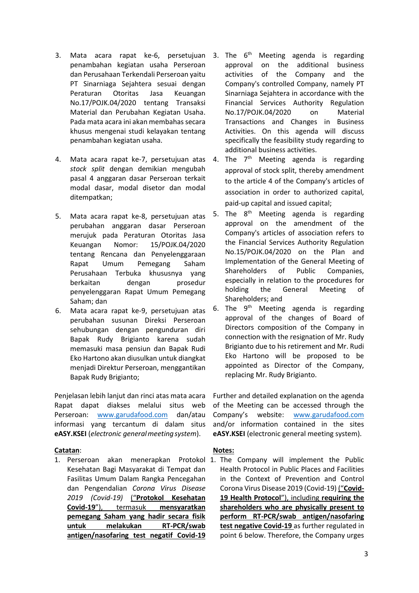- 3. Mata acara rapat ke-6, persetujuan penambahan kegiatan usaha Perseroan dan Perusahaan Terkendali Perseroan yaitu PT Sinarniaga Sejahtera sesuai dengan Peraturan Otoritas Jasa Keuangan No.17/POJK.04/2020 tentang Transaksi Material dan Perubahan Kegiatan Usaha. Pada mata acara ini akan membahas secara khusus mengenai studi kelayakan tentang penambahan kegiatan usaha.
- 4. Mata acara rapat ke-7, persetujuan atas *stock split* dengan demikian mengubah pasal 4 anggaran dasar Perseroan terkait modal dasar, modal disetor dan modal ditempatkan;
- 5. Mata acara rapat ke-8, persetujuan atas perubahan anggaran dasar Perseroan merujuk pada Peraturan Otoritas Jasa Keuangan Nomor: 15/POJK.04/2020 tentang Rencana dan Penyelenggaraan Rapat Umum Pemegang Saham Perusahaan Terbuka khususnya yang berkaitan dengan prosedur penyelenggaran Rapat Umum Pemegang Saham; dan
- 6. Mata acara rapat ke-9, persetujuan atas perubahan susunan Direksi Perseroan sehubungan dengan pengunduran diri Bapak Rudy Brigianto karena sudah memasuki masa pensiun dan Bapak Rudi Eko Hartono akan diusulkan untuk diangkat menjadi Direktur Perseroan, menggantikan Bapak Rudy Brigianto;

Penjelasan lebih lanjut dan rinci atas mata acara Rapat dapat diakses melalui situs web Perseroan: [www.garudafood.com](http://www.garudafood.com/) dan/atau informasi yang tercantum di dalam situs **eASY.KSEI** (*electronic generalmeetingsystem*).

### **Catatan**:

Kesehatan Bagi Masyarakat di Tempat dan Fasilitas Umum Dalam Rangka Pencegahan dan Pengendalian *Corona Virus Disease 2019 (Covid-19)* ("**Protokol Kesehatan Covid-19**"), termasuk **mensyaratkan pemegang Saham yang hadir secara fisik untuk melakukan RT-PCR/swab antigen/nasofaring test negatif Covid-19**

- 3. The  $6<sup>th</sup>$  Meeting agenda is regarding approval on the additional business activities of the Company and the Company's controlled Company, namely PT Sinarniaga Sejahtera in accordance with the Financial Services Authority Regulation No.17/POJK.04/2020 on Material Transactions and Changes in Business Activities. On this agenda will discuss specifically the feasibility study regarding to additional business activities.
- 4. The  $7<sup>th</sup>$  Meeting agenda is regarding approval of stock split, thereby amendment to the article 4 of the Company's articles of association in order to authorized capital, paid-up capital and issued capital;
- 5. The  $8<sup>th</sup>$  Meeting agenda is regarding approval on the amendment of the Company's articles of association refers to the Financial Services Authority Regulation No.15/POJK.04/2020 on the Plan and Implementation of the General Meeting of Shareholders of Public Companies, especially in relation to the procedures for holding the General Meeting of Shareholders; and
- 6. The  $9<sup>th</sup>$  Meeting agenda is regarding approval of the changes of Board of Directors composition of the Company in connection with the resignation of Mr. Rudy Brigianto due to his retirement and Mr. Rudi Eko Hartono will be proposed to be appointed as Director of the Company, replacing Mr. Rudy Brigianto.

Further and detailed explanation on the agenda of the Meeting can be accessed through the Company's website: [www.garudafood.com](http://www.garudafood.com/) and/or information contained in the sites **eASY.KSEI** (electronic general meeting system).

### **Notes:**

1. Perseroan akan menerapkan Protokol 1. The Company will implement the Public Health Protocol in Public Places and Facilities in the Context of Prevention and Control Corona Virus Disease 2019 (Covid-19) ("**Covid-19 Health Protocol**"), including **requiring the shareholders who are physically present to perform RT-PCR/swab antigen/nasofaring test negative Covid-19** as further regulated in point 6 below. Therefore, the Company urges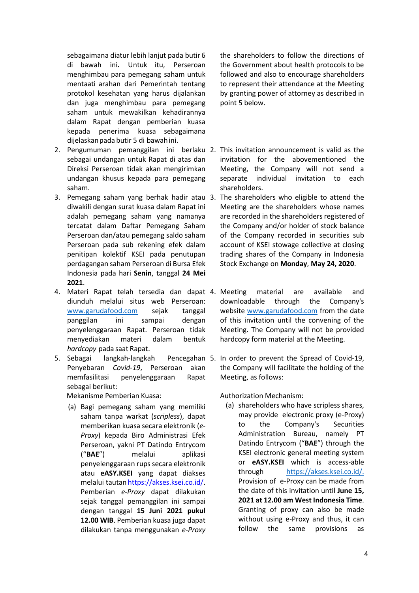sebagaimana diatur lebih lanjut pada butir 6 di bawah ini**.** Untuk itu, Perseroan menghimbau para pemegang saham untuk mentaati arahan dari Pemerintah tentang protokol kesehatan yang harus dijalankan dan juga menghimbau para pemegang saham untuk mewakilkan kehadirannya dalam Rapat dengan pemberian kuasa kepada penerima kuasa sebagaimana dijelaskanpada butir 5 di bawahini.

- 2. Pengumuman pemanggilan ini berlaku 2. This invitation announcement is valid as the sebagai undangan untuk Rapat di atas dan Direksi Perseroan tidak akan mengirimkan undangan khusus kepada para pemegang saham.
- 3. Pemegang saham yang berhak hadir atau 3. The shareholders who eligible to attend the diwakili dengan surat kuasa dalam Rapat ini adalah pemegang saham yang namanya tercatat dalam Daftar Pemegang Saham Perseroan dan/atau pemegang saldo saham Perseroan pada sub rekening efek dalam penitipan kolektif KSEI pada penutupan perdagangan saham Perseroan di Bursa Efek Indonesia pada hari **Senin**, tanggal **24 Mei 2021**.
- 4. Materi Rapat telah tersedia dan dapat 4. Meeting material are available and diunduh melalui situs web Perseroan: [www.garudafood.com](http://www.garudafood.com/) sejak tanggal panggilan ini sampai dengan penyelenggaraan Rapat. Perseroan tidak menyediakan materi dalam bentuk *hardcopy* pada saat Rapat.
- 5. Sebagai langkah-langkah Penyebaran *Covid-19*, Perseroan akan memfasilitasi penyelenggaraan Rapat sebagai berikut:

Mekanisme Pemberian Kuasa:

(a) Bagi pemegang saham yang memiliki saham tanpa warkat (*scripless*), dapat memberikan kuasa secara elektronik (*e-Proxy*) kepada Biro Administrasi Efek Perseroan, yakni PT Datindo Entrycom ("**BAE**") melalui aplikasi penyelenggaraan rups secara elektronik atau **eASY.KSEI** yang dapat diakses melalui tautan [https://akses.ksei.co.id/.](https://akses.ksei.co.id/) Pemberian *e-Proxy* dapat dilakukan sejak tanggal pemanggilan ini sampai dengan tanggal **15 Juni 2021 pukul 12.00 WIB**. Pemberian kuasa juga dapat dilakukan tanpa menggunakan *e-Proxy*  the shareholders to follow the directions of the Government about health protocols to be followed and also to encourage shareholders to represent their attendance at the Meeting by granting power of attorney as described in point 5 below.

- invitation for the abovementioned the Meeting, the Company will not send a separate individual invitation to each shareholders.
- Meeting are the shareholders whose names are recorded in the shareholders registered of the Company and/or holder of stock balance of the Company recorded in securities sub account of KSEI stowage collective at closing trading shares of the Company in Indonesia Stock Exchange on **Monday**, **May 24, 2020**.
- downloadable through the Company's website [www.garudafood.com](http://www.garudafood.com/) from the date of this invitation until the convening of the Meeting. The Company will not be provided hardcopy form material at the Meeting.
- Pencegahan 5. In order to prevent the Spread of Covid-19, the Company will facilitate the holding of the Meeting, as follows:

Authorization Mechanism:

(a) shareholders who have scripless shares, may provide electronic proxy (e-Proxy) to the Company's Securities Administration Bureau, namely PT Datindo Entrycom ("**BAE**") through the KSEI electronic general meeting system or **eASY.KSEI** which is access-able through [https://akses.ksei.co.id/.](https://akses.ksei.co.id/) Provision of e-Proxy can be made from the date of this invitation until **June 15, 2021 at 12.00 am West Indonesia Time**. Granting of proxy can also be made without using e-Proxy and thus, it can follow the same provisions as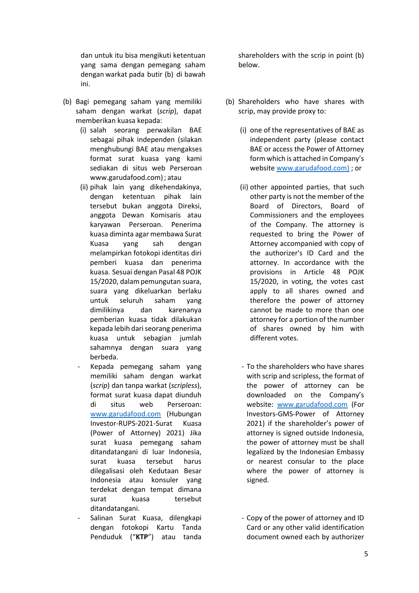dan untuk itu bisa mengikuti ketentuan yang sama dengan pemegang saham dengan warkat pada butir (b) di bawah ini.

- (b) Bagi pemegang saham yang memiliki saham dengan warkat (*scrip*), dapat memberikan kuasa kepada:
	- (i) salah seorang perwakilan BAE sebagai pihak independen (silakan menghubungi BAE atau mengakses format surat kuasa yang kami sediakan di situs web Perseroan [www.garudafood.com\)](http://www.garudafood.com/); atau
	- (ii) pihak lain yang dikehendakinya, dengan ketentuan pihak lain tersebut bukan anggota Direksi, anggota Dewan Komisaris atau karyawan Perseroan. Penerima kuasa diminta agar membawa Surat Kuasa yang sah dengan melampirkan fotokopi identitas diri pemberi kuasa dan penerima kuasa. Sesuai dengan Pasal 48 POJK 15/2020, dalampemungutan suara, suara yang dikeluarkan berlaku untuk seluruh saham yang dimilikinya dan karenanya pemberian kuasa tidak dilakukan kepada lebih dari seorang penerima kuasa untuk sebagian jumlah sahamnya dengan suara yang berbeda.
	- Kepada pemegang saham yang memiliki saham dengan warkat (*scrip*) dan tanpa warkat (*scripless*), format surat kuasa dapat diunduh di situs web Perseroan: [www.garudafood.com](http://www.garudafood.com/) (Hubungan Investor-RUPS-2021-Surat Kuasa (Power of Attorney) 2021) Jika surat kuasa pemegang saham ditandatangani di luar Indonesia, surat kuasa tersebut harus dilegalisasi oleh Kedutaan Besar Indonesia atau konsuler yang terdekat dengan tempat dimana surat kuasa tersebut ditandatangani.
	- Salinan Surat Kuasa, dilengkapi dengan fotokopi Kartu Tanda Penduduk ("**KTP**") atau tanda

shareholders with the scrip in point (b) below.

- (b) Shareholders who have shares with scrip, may provide proxy to:
	- (i) one of the representatives of BAE as independent party (please contact BAE or access the Power of Attorney form which is attached in Company's website [www.garudafood.com\)](http://www.garudafood.com/) ; or
	- (ii) other appointed parties, that such other party is not the member of the Board of Directors, Board of Commissioners and the employees of the Company. The attorney is requested to bring the Power of Attorney accompanied with copy of the authorizer's ID Card and the attorney. In accordance with the provisions in Article 48 POJK 15/2020, in voting, the votes cast apply to all shares owned and therefore the power of attorney cannot be made to more than one attorney for a portion of the number of shares owned by him with different votes.
	- To the shareholders who have shares with scrip and scripless, the format of the power of attorney can be downloaded on the Company's website: [www.garudafood.com](http://www.garudafood.com/) (For Investors-GMS-Power of Attorney 2021) if the shareholder's power of attorney is signed outside Indonesia, the power of attorney must be shall legalized by the Indonesian Embassy or nearest consular to the place where the power of attorney is signed.
	- Copy of the power of attorney and ID Card or any other valid identification document owned each by authorizer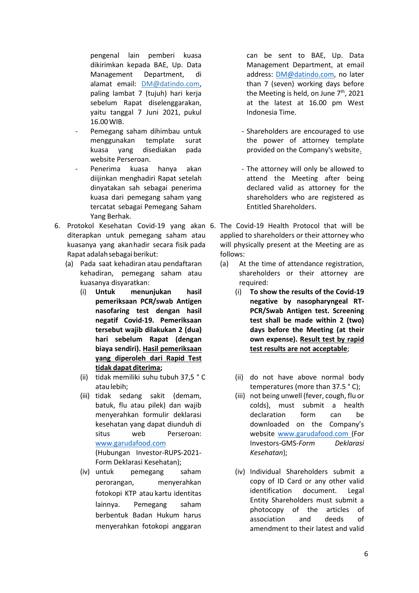pengenal lain pemberi kuasa dikirimkan kepada BAE, Up. Data Management Department, di alamat email: DM@datindo.com, paling lambat 7 (tujuh) hari kerja sebelum Rapat diselenggarakan, yaitu tanggal 7 Juni 2021, pukul 16.00WIB.

- Pemegang saham dihimbau untuk menggunakan template surat kuasa yang disediakan pada website Perseroan.
- Penerima kuasa hanya akan diijinkan menghadiri Rapat setelah dinyatakan sah sebagai penerima kuasa dari pemegang saham yang tercatat sebagai Pemegang Saham Yang Berhak.
- 6. Protokol Kesehatan Covid-19 yang akan 6. The Covid-19 Health Protocol that will be diterapkan untuk pemegang saham atau kuasanya yang akanhadir secara fisik pada Rapat adalahsebagaiberikut:
	- (a) Pada saat kehadiran atau pendaftaran kehadiran, pemegang saham atau kuasanya disyaratkan:
		- (i) **Untuk menunjukan hasil pemeriksaan PCR/swab Antigen nasofaring test dengan hasil negatif Covid-19. Pemeriksaan tersebut wajib dilakukan 2 (dua) hari sebelum Rapat (dengan biaya sendiri). Hasil pemeriksaan yang diperoleh dari Rapid Test tidak dapat diterima;**
		- (ii) tidak memiliki suhu tubuh 37,5 ° C ataulebih;
		- (iii) tidak sedang sakit (demam, batuk, flu atau pilek) dan wajib menyerahkan formulir deklarasi kesehatan yang dapat diunduh di situs web Perseroan: [www.garudafood.com](http://www.garudafood.com/) (Hubungan Investor-RUPS-2021- Form Deklarasi Kesehatan);
		- (iv) untuk pemegang saham perorangan, menyerahkan fotokopi KTP atau kartu identitas lainnya. Pemegang saham berbentuk Badan Hukum harus menyerahkan fotokopi anggaran

can be sent to BAE, Up. Data Management Department, at email address: [DM@datindo.com,](mailto:DM@datindo.com) no later than 7 (seven) working days before the Meeting is held, on June 7<sup>th</sup>, 2021 at the latest at 16.00 pm West Indonesia Time.

- Shareholders are encouraged to use the power of attorney template provided on the Company's website.
- The attorney will only be allowed to attend the Meeting after being declared valid as attorney for the shareholders who are registered as Entitled Shareholders.
- applied to shareholders or their attorney who will physically present at the Meeting are as follows:
	- (a) At the time of attendance registration, shareholders or their attorney are required:
		- (i) **To show the results of the Covid-19 negative by nasopharyngeal RT-PCR/Swab Antigen test. Screening test shall be made within 2 (two) days before the Meeting (at their own expense). Result test by rapid test results are not acceptable**;
		- (ii) do not have above normal body temperatures (more than 37.5 ° C);
		- (iii) not being unwell (fever, cough, flu or colds), must submit a health declaration form can be downloaded on the Company's website [www.garudafood.com](http://www.garudafood.com/) (For Investors-GMS-*Form Deklarasi Kesehatan*);
		- (iv) Individual Shareholders submit a copy of ID Card or any other valid identification document. Legal Entity Shareholders must submit a photocopy of the articles of association and deeds of amendment to their latest and valid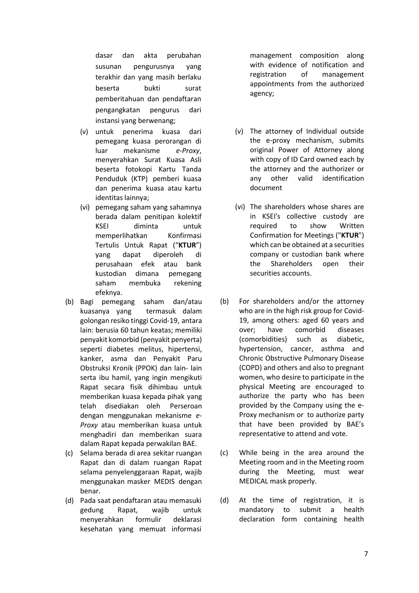dasar dan akta perubahan susunan pengurusnya yang terakhir dan yang masih berlaku beserta bukti surat pemberitahuan dan pendaftaran pengangkatan pengurus dari instansi yang berwenang;

- (v) untuk penerima kuasa dari pemegang kuasa perorangan di luar mekanisme *e-Proxy*, menyerahkan Surat Kuasa Asli beserta fotokopi Kartu Tanda Penduduk (KTP) pemberi kuasa dan penerima kuasa atau kartu identitas lainnya;
- (vi) pemegang saham yang sahamnya berada dalam penitipan kolektif KSEI diminta untuk memperlihatkan Konfirmasi Tertulis Untuk Rapat ("**KTUR**") yang dapat diperoleh di perusahaan efek atau bank kustodian dimana pemegang saham membuka rekening efeknya.
- (b) Bagi pemegang saham dan/atau kuasanya yang termasuk dalam golongan resiko tinggi Covid-19, antara lain: berusia 60 tahun keatas; memiliki penyakit komorbid (penyakit penyerta) seperti diabetes melitus, hipertensi, kanker, asma dan Penyakit Paru Obstruksi Kronik (PPOK) dan lain- lain serta ibu hamil, yang ingin mengikuti Rapat secara fisik dihimbau untuk memberikan kuasa kepada pihak yang telah disediakan oleh Perseroan dengan menggunakan mekanisme *e-Proxy* atau memberikan kuasa untuk menghadiri dan memberikan suara dalam Rapat kepada perwakilan BAE.
- (c) Selama berada di area sekitar ruangan Rapat dan di dalam ruangan Rapat selama penyelenggaraan Rapat, wajib menggunakan masker MEDIS dengan benar.
- (d) Pada saat pendaftaran atau memasuki gedung Rapat, wajib untuk menyerahkan formulir deklarasi kesehatan yang memuat informasi

management composition along with evidence of notification and registration of management appointments from the authorized agency;

- (v) The attorney of Individual outside the e-proxy mechanism, submits original Power of Attorney along with copy of ID Card owned each by the attorney and the authorizer or any other valid identification document
- (vi) The shareholders whose shares are in KSEI's collective custody are required to show Written Confirmation for Meetings ("**KTUR**") which can be obtained at a securities company or custodian bank where the Shareholders open their securities accounts.
- (b) For shareholders and/or the attorney who are in the high risk group for Covid-19, among others: aged 60 years and over; have comorbid diseases (comorbidities) such as diabetic, hypertension, cancer, asthma and Chronic Obstructive Pulmonary Disease (COPD) and others and also to pregnant women, who desire to participate in the physical Meeting are encouraged to authorize the party who has been provided by the Company using the e-Proxy mechanism or to authorize party that have been provided by BAE's representative to attend and vote.
- (c) While being in the area around the Meeting room and in the Meeting room during the Meeting, must wear MEDICAL mask properly.
- (d) At the time of registration, it is mandatory to submit a health declaration form containing health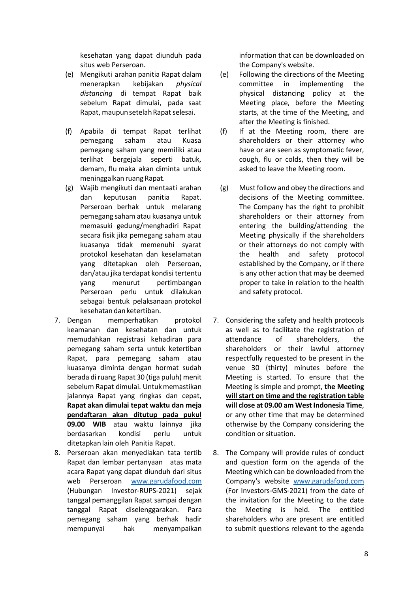kesehatan yang dapat diunduh pada situs web Perseroan.

- (e) Mengikuti arahan panitia Rapat dalam menerapkan kebijakan *physical distancing* di tempat Rapat baik sebelum Rapat dimulai, pada saat Rapat, maupunsetelahRapatselesai.
- (f) Apabila di tempat Rapat terlihat pemegang saham atau Kuasa pemegang saham yang memiliki atau terlihat bergejala seperti batuk, demam, flu maka akan diminta untuk meninggalkan ruang Rapat.
- (g) Wajib mengikuti dan mentaati arahan dan keputusan panitia Rapat. Perseroan berhak untuk melarang pemegang saham atau kuasanya untuk memasuki gedung/menghadiri Rapat secara fisik jika pemegang saham atau kuasanya tidak memenuhi syarat protokol kesehatan dan keselamatan yang ditetapkan oleh Perseroan, dan/atau jika terdapat kondisi tertentu yang menurut pertimbangan Perseroan perlu untuk dilakukan sebagai bentuk pelaksanaan protokol kesehatan danketertiban.
- 7. Dengan memperhatikan protokol keamanan dan kesehatan dan untuk memudahkan registrasi kehadiran para pemegang saham serta untuk ketertiban Rapat, para pemegang saham atau kuasanya diminta dengan hormat sudah berada di ruang Rapat 30 (tiga puluh) menit sebelum Rapat dimulai. Untukmemastikan jalannya Rapat yang ringkas dan cepat, **Rapat akan dimulai tepat waktu dan meja pendaftaran akan ditutup pada pukul 09.00 WIB** atau waktu lainnya jika berdasarkan kondisi perlu untuk ditetapkanlain oleh Panitia Rapat.
- 8. Perseroan akan menyediakan tata tertib Rapat dan lembar pertanyaan atas mata acara Rapat yang dapat diunduh dari situs web Perseroan [www.garudafood.com](http://www.garudafood.com/) (Hubungan Investor-RUPS-2021) sejak tanggal pemanggilan Rapat sampai dengan tanggal Rapat diselenggarakan. Para pemegang saham yang berhak hadir mempunyai hak menyampaikan

information that can be downloaded on the Company's website.

- (e) Following the directions of the Meeting committee in implementing the physical distancing policy at the Meeting place, before the Meeting starts, at the time of the Meeting, and after the Meeting is finished.
- (f) If at the Meeting room, there are shareholders or their attorney who have or are seen as symptomatic fever, cough, flu or colds, then they will be asked to leave the Meeting room.
- (g) Must follow and obey the directions and decisions of the Meeting committee. The Company has the right to prohibit shareholders or their attorney from entering the building/attending the Meeting physically if the shareholders or their attorneys do not comply with the health and safety protocol established by the Company, or if there is any other action that may be deemed proper to take in relation to the health and safety protocol.
- 7. Considering the safety and health protocols as well as to facilitate the registration of attendance of shareholders, the shareholders or their lawful attorney respectfully requested to be present in the venue 30 (thirty) minutes before the Meeting is started. To ensure that the Meeting is simple and prompt, **the Meeting will start on time and the registration table will close at 09.00 am West Indonesia Time**, or any other time that may be determined otherwise by the Company considering the condition or situation.
- 8. The Company will provide rules of conduct and question form on the agenda of the Meeting which can be downloaded from the Company's website [www.garudafood.com](http://www.garudafood.com/) (For Investors-GMS-2021) from the date of the invitation for the Meeting to the date the Meeting is held. The entitled shareholders who are present are entitled to submit questions relevant to the agenda